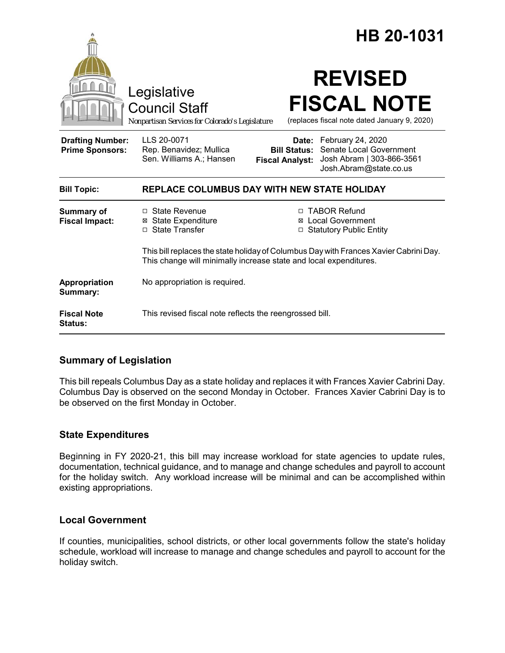|                                                   |                                                                                                                                                            | HB 20-1031                                                                                                                                                 |
|---------------------------------------------------|------------------------------------------------------------------------------------------------------------------------------------------------------------|------------------------------------------------------------------------------------------------------------------------------------------------------------|
|                                                   | Legislative<br><b>Council Staff</b><br>Nonpartisan Services for Colorado's Legislature                                                                     | <b>REVISED</b><br><b>FISCAL NOTE</b><br>(replaces fiscal note dated January 9, 2020)                                                                       |
| <b>Drafting Number:</b><br><b>Prime Sponsors:</b> | LLS 20-0071<br>Rep. Benavidez; Mullica<br>Sen. Williams A.; Hansen                                                                                         | Date: February 24, 2020<br>Senate Local Government<br><b>Bill Status:</b><br>Josh Abram   303-866-3561<br><b>Fiscal Analyst:</b><br>Josh.Abram@state.co.us |
| <b>Bill Topic:</b>                                | <b>REPLACE COLUMBUS DAY WITH NEW STATE HOLIDAY</b>                                                                                                         |                                                                                                                                                            |
| <b>Summary of</b><br><b>Fiscal Impact:</b>        | □ State Revenue<br><b>⊠</b> State Expenditure<br>□ State Transfer                                                                                          | □ TABOR Refund<br><b>⊠</b> Local Government<br>□ Statutory Public Entity                                                                                   |
|                                                   | This bill replaces the state holiday of Columbus Day with Frances Xavier Cabrini Day.<br>This change will minimally increase state and local expenditures. |                                                                                                                                                            |
| Appropriation<br>Summary:                         | No appropriation is required.                                                                                                                              |                                                                                                                                                            |
| <b>Fiscal Note</b><br>Status:                     | This revised fiscal note reflects the reengrossed bill.                                                                                                    |                                                                                                                                                            |

# **Summary of Legislation**

This bill repeals Columbus Day as a state holiday and replaces it with Frances Xavier Cabrini Day. Columbus Day is observed on the second Monday in October. Frances Xavier Cabrini Day is to be observed on the first Monday in October.

## **State Expenditures**

Beginning in FY 2020-21, this bill may increase workload for state agencies to update rules, documentation, technical guidance, and to manage and change schedules and payroll to account for the holiday switch. Any workload increase will be minimal and can be accomplished within existing appropriations.

## **Local Government**

If counties, municipalities, school districts, or other local governments follow the state's holiday schedule, workload will increase to manage and change schedules and payroll to account for the holiday switch.